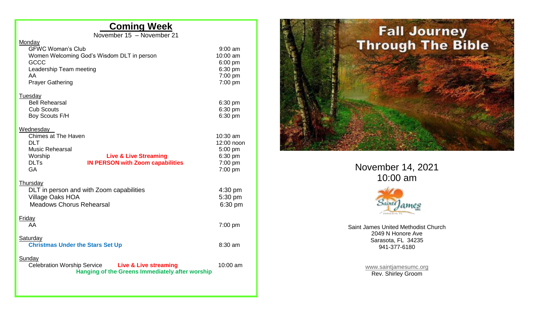## **Coming Week**

November 15 – November 21

## Monday

| $9:00$ am<br>10:00 am<br>6:00 pm<br>6:30 pm<br>$7:00$ pm<br>7:00 pm |
|---------------------------------------------------------------------|
| 6:30 pm<br>6:30 pm<br>6:30 pm                                       |
| 10:30 am<br>12:00 noon<br>5:00 pm<br>6:30 pm<br>7:00 pm<br>7:00 pm  |
| $4:30$ pm<br>5:30 pm<br>6:30 pm                                     |
| $7:00$ pm                                                           |
| 8:30 am                                                             |
| $10:00$ am                                                          |
|                                                                     |



November 14, 2021 10:00 am



Saint James United Methodist Church 2049 N Honore Ave Sarasota, FL 34235 941-377-6180

> [www.saintjamesumc.org](http://www.saintjamesumc.org/) Rev. Shirley Groom